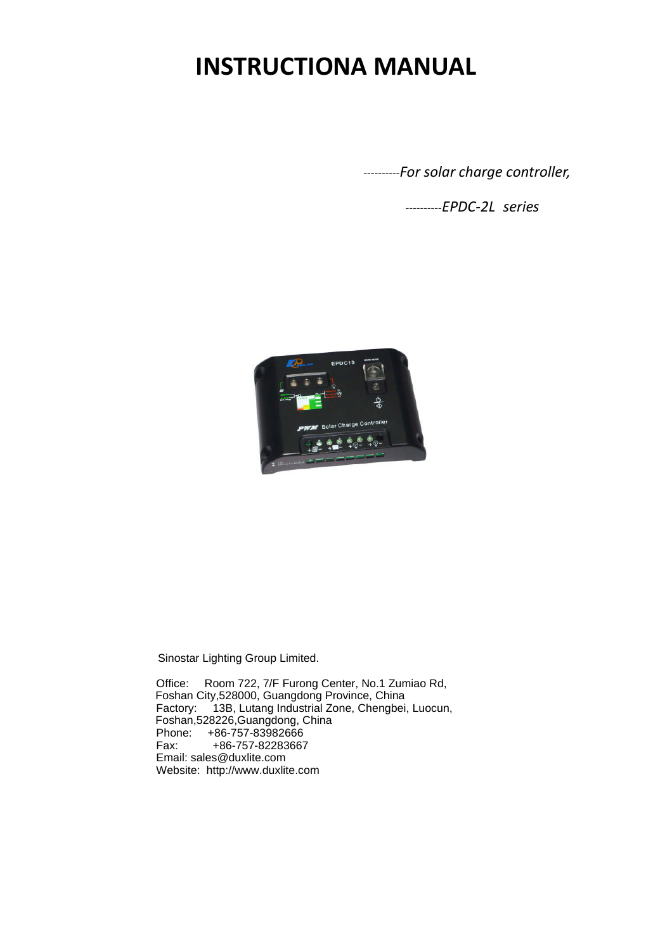# **INSTRUCTIONA MANUAL**

----------*For solar charge controller,*

----------*EPDC-2L series*



Sinostar Lighting Group Limited.

 Office: Room 722, 7/F Furong Center, No.1 Zumiao Rd, Foshan City,528000, Guangdong Province, China Factory: 13B, Lutang Industrial Zone, Chengbei, Luocun, Foshan,528226,Guangdong, China Phone: +86-757-83982666 Fax: +86-757-82283667 Email: sales@duxlite.com Website: http://www.duxlite.com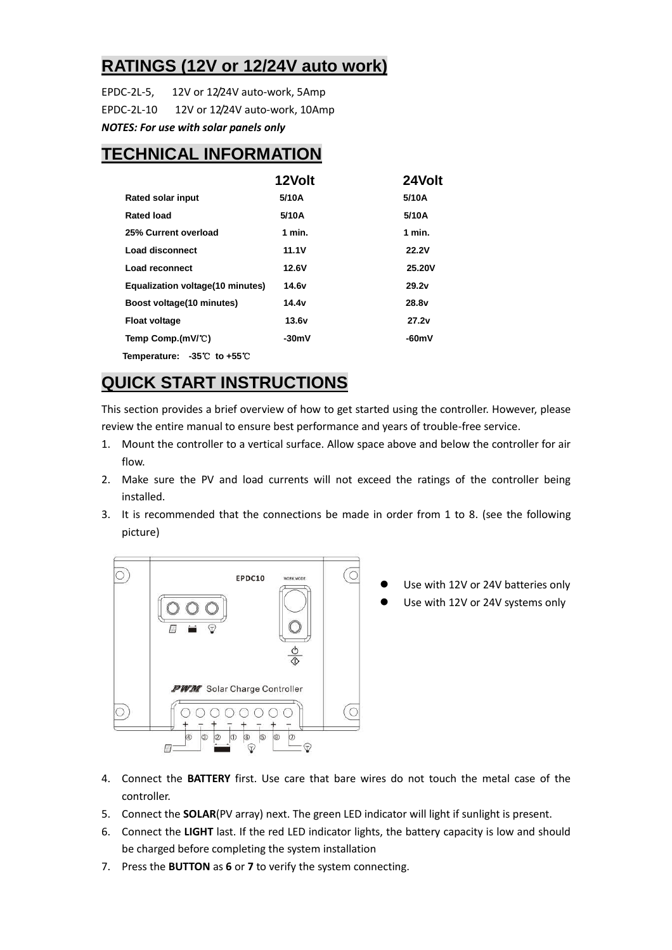#### **RATINGS (12V or 12/24V auto work)**

EPDC-2L-5, 12V or 12/24V auto-work, 5Amp EPDC-2L-10 12V or 12/24V auto-work, 10Amp *NOTES: For use with solar panels only*

#### **TECHNICAL INFORMATION**

|                                             | 12Volt  | 24Volt            |
|---------------------------------------------|---------|-------------------|
| <b>Rated solar input</b>                    | 5/10A   | 5/10A             |
| Rated load                                  | 5/10A   | 5/10A             |
| 25% Current overload                        | 1 min.  | 1 min.            |
| Load disconnect                             | 11.1V   | <b>22.2V</b>      |
| Load reconnect                              | 12.6V   | <b>25.20V</b>     |
| Equalization voltage (10 minutes)           | 14.6v   | 29.2v             |
| Boost voltage (10 minutes)                  | 14.4v   | 28.8 <sub>v</sub> |
| <b>Float voltage</b>                        | 13.6v   | 27.2v             |
| Temp Comp.(mV/°C)                           | $-30mV$ | $-60mV$           |
| Temperature: $-35^{\circ}$ to $+55^{\circ}$ |         |                   |

#### **QUICK START INSTRUCTIONS**

This section provides a brief overview of how to get started using the controller. However, please review the entire manual to ensure best performance and years of trouble-free service.

- 1. Mount the controller to a vertical surface. Allow space above and below the controller for air flow.
- 2. Make sure the PV and load currents will not exceed the ratings of the controller being installed.
- 3. It is recommended that the connections be made in order from 1 to 8. (see the following picture)



- Use with 12V or 24V batteries only
- Use with 12V or 24V systems only

- 4. Connect the **BATTERY** first. Use care that bare wires do not touch the metal case of the controller.
- 5. Connect the **SOLAR**(PV array) next. The green LED indicator will light if sunlight is present.
- 6. Connect the **LIGHT** last. If the red LED indicator lights, the battery capacity is low and should be charged before completing the system installation
- 7. Press the **BUTTON** as **6** or **7** to verify the system connecting.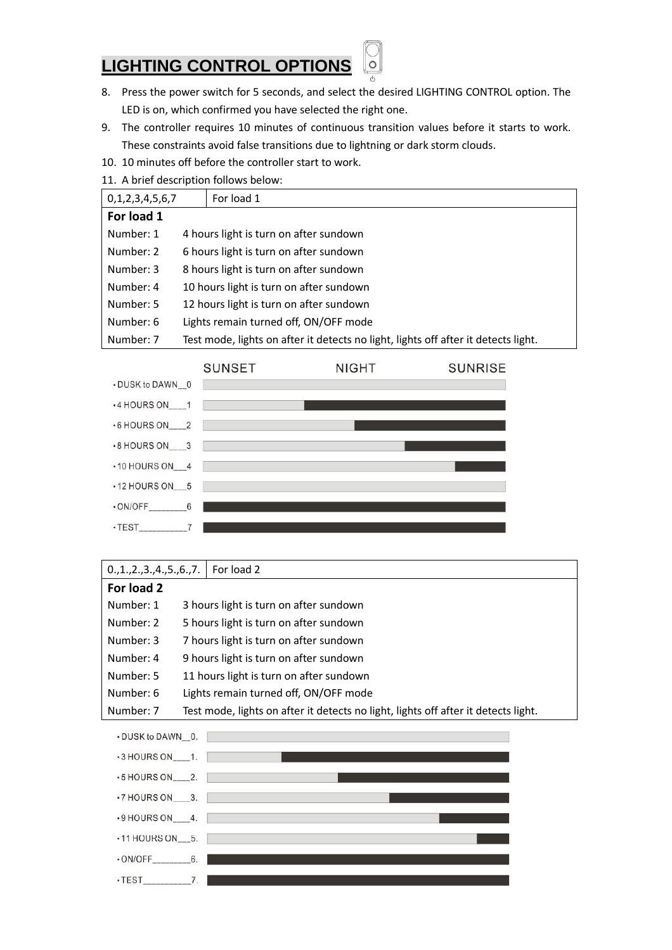#### **LIGHTING CONTROL OPTIONS**

8. Press the power switch for 5 seconds, and select the desired LIGHTING CONTROL option. The LED is on, which confirmed you have selected the right one.

 $\circ$ 

- 9. The controller requires 10 minutes of continuous transition values before it starts to work. These constraints avoid false transitions due to lightning or dark storm clouds.
- 10. 10 minutes off before the controller start to work.
- 11. A brief description follows below:

| 0,1,2,3,4,5,6,7 | For load 1                                                                         |
|-----------------|------------------------------------------------------------------------------------|
| For load 1      |                                                                                    |
| Number: 1       | 4 hours light is turn on after sundown                                             |
| Number: 2       | 6 hours light is turn on after sundown                                             |
| Number: 3       | 8 hours light is turn on after sundown                                             |
| Number: 4       | 10 hours light is turn on after sundown                                            |
| Number: 5       | 12 hours light is turn on after sundown                                            |
| Number: 6       | Lights remain turned off, ON/OFF mode                                              |
| Number: 7       | Test mode, lights on after it detects no light, lights off after it detects light. |



#### 0.,1.,2.,3.,4.,5.,6.,7. For load 2

| For load 2 |                                                                                    |
|------------|------------------------------------------------------------------------------------|
| Number: 1  | 3 hours light is turn on after sundown                                             |
| Number: 2  | 5 hours light is turn on after sundown                                             |
| Number: 3  | 7 hours light is turn on after sundown                                             |
| Number: 4  | 9 hours light is turn on after sundown                                             |
| Number: 5  | 11 hours light is turn on after sundown                                            |
| Number: 6  | Lights remain turned off, ON/OFF mode                                              |
| Number: 7  | Test mode, lights on after it detects no light, lights off after it detects light. |

| • DUSK to DAWN 0.           |  |
|-----------------------------|--|
| $-3$ HOURS ON $-1$ .        |  |
| $-5$ HOURS ON $2$ .         |  |
| $\cdot$ 7 HOURS ON $\_\$ 3. |  |
| $-9$ HOURS ON $\_4$ .       |  |
| $\cdot$ 11 HOURS ON 5.      |  |
| $\cdot$ ON/OFF 6.           |  |
| $\cdot$ TEST                |  |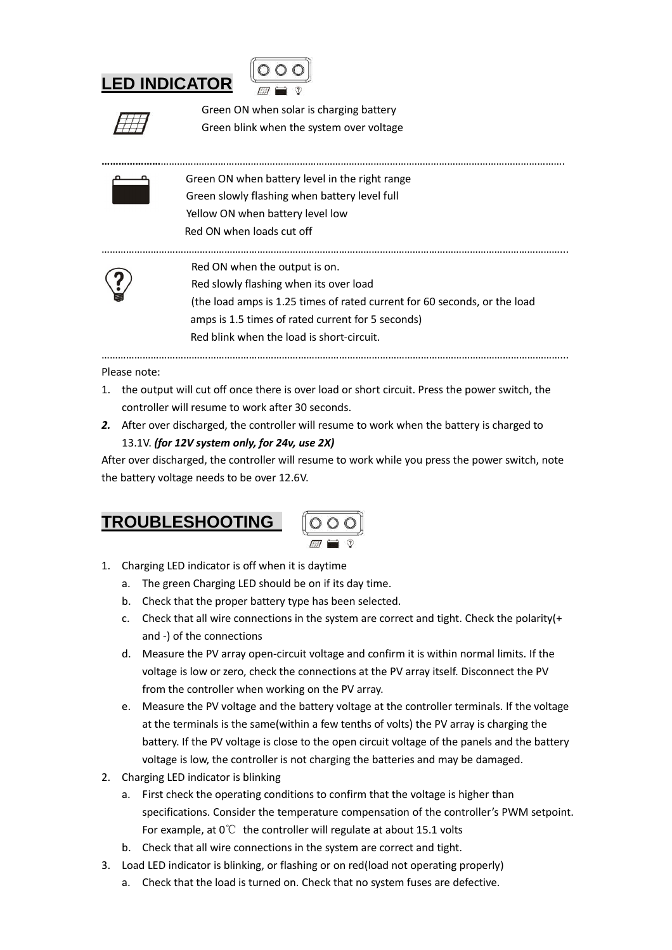## **LED INDICATOR**



Green ON when solar is charging battery Green blink when the system over voltage

Green ON when battery level in the right range Green slowly flashing when battery level full Yellow ON when battery level low Red ON when loads cut off



Red ON when the output is on. Red slowly flashing when its over load (the load amps is 1.25 times of rated current for 60 seconds, or the load amps is 1.5 times of rated current for 5 seconds) Red blink when the load is short-circuit.

… … … … … … … … … … … … … … … … … … … … … … … … … … … … … … … … … … … … … … … … … … … … … … … … … … … … … … … … ...

**… … … … … … …** … … … … … … … … … … … … … … … … … … … … … … … … … … … … … … … … … … … … … … … … … … … … … … … … … .

Please note:

1. the output will cut off once there is over load or short circuit. Press the power switch, the controller will resume to work after 30 seconds.

… … … … … … … … … … … … … … … … … … … … … … … … … … … … … … … … … … … … … … … … … … … … … … … … … … … … … … … … ...

*2.* After over discharged, the controller will resume to work when the battery is charged to 13.1V. *(for 12V system only, for 24v, use 2X)*

After over discharged, the controller will resume to work while you press the power switch, note the battery voltage needs to be over 12.6V.

| <b>TROUBLESHOOTING</b> |  |
|------------------------|--|
|                        |  |

- 1. Charging LED indicator is off when it is daytime
	- a. The green Charging LED should be on if its day time.
	- b. Check that the proper battery type has been selected.
	- c. Check that all wire connections in the system are correct and tight. Check the polarity(+ and -) of the connections
	- d. Measure the PV array open-circuit voltage and confirm it is within normal limits. If the voltage is low or zero, check the connections at the PV array itself. Disconnect the PV from the controller when working on the PV array.
	- e. Measure the PV voltage and the battery voltage at the controller terminals. If the voltage at the terminals is the same(within a few tenths of volts) the PV array is charging the battery. If the PV voltage is close to the open circuit voltage of the panels and the battery voltage is low, the controller is not charging the batteries and may be damaged.
- 2. Charging LED indicator is blinking
	- a. First check the operating conditions to confirm that the voltage is higher than specifications. Consider the temperature compensation of the controller's PWM setpoint. For example, at  $0^{\circ}\text{C}$  the controller will regulate at about 15.1 volts
	- b. Check that all wire connections in the system are correct and tight.
- 3. Load LED indicator is blinking, or flashing or on red(load not operating properly)
	- a. Check that the load is turned on. Check that no system fuses are defective.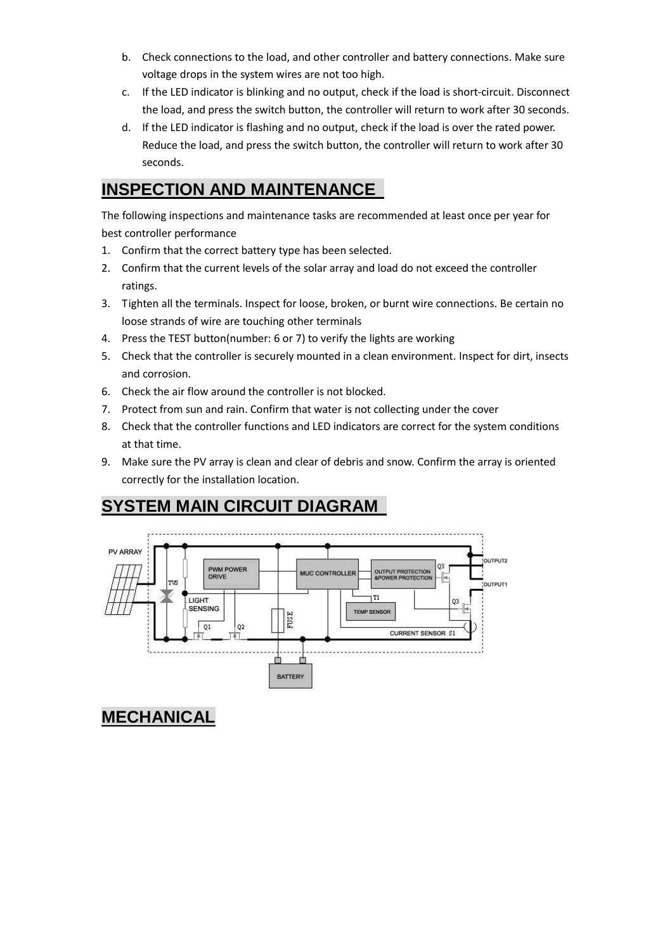- b. Check connections to the load, and other controller and battery connections. Make sure voltage drops in the system wires are not too high.
- c. If the LED indicator is blinking and no output, check if the load is short-circuit. Disconnect the load, and press the switch button, the controller will return to work after 30 seconds.
- d. If the LED indicator is flashing and no output, check if the load is over the rated power. Reduce the load, and press the switch button, the controller will return to work after 30 seconds.

#### **INSPECTION AND MAINTENANCE**

The following inspections and maintenance tasks are recommended at least once per year for best controller performance

- 1. Confirm that the correct battery type has been selected.
- 2. Confirm that the current levels of the solar array and load do not exceed the controller ratings.
- 3. Tighten all the terminals. Inspect for loose, broken, or burnt wire connections. Be certain no loose strands of wire are touching other terminals
- 4. Press the TEST button(number: 6 or 7) to verify the lights are working
- 5. Check that the controller is securely mounted in a clean environment. Inspect for dirt, insects and corrosion.
- 6. Check the air flow around the controller is not blocked.
- 7. Protect from sun and rain. Confirm that water is not collecting under the cover
- 8. Check that the controller functions and LED indicators are correct for the system conditions at that time.
- 9. Make sure the PV array is clean and clear of debris and snow. Confirm the array is oriented correctly for the installation location.

### **SYSTEM MAIN CIRCUIT DIAGRAM**